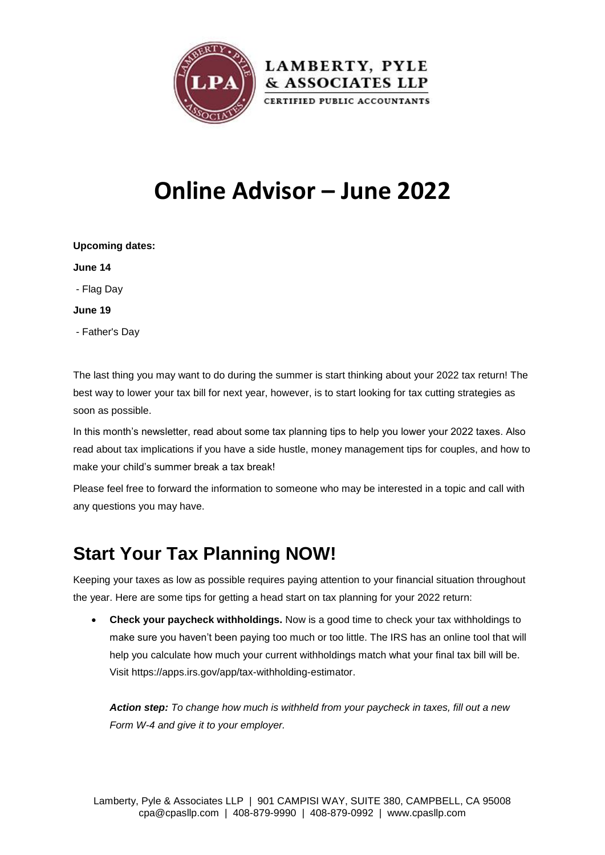

# **Online Advisor – June 2022**

| <b>Upcoming dates:</b> |  |
|------------------------|--|
| June 14                |  |
| - Flag Day             |  |
| June 19                |  |
| - Father's Day         |  |

The last thing you may want to do during the summer is start thinking about your 2022 tax return! The best way to lower your tax bill for next year, however, is to start looking for tax cutting strategies as soon as possible.

In this month's newsletter, read about some tax planning tips to help you lower your 2022 taxes. Also read about tax implications if you have a side hustle, money management tips for couples, and how to make your child's summer break a tax break!

Please feel free to forward the information to someone who may be interested in a topic and call with any questions you may have.

## **Start Your Tax Planning NOW!**

Keeping your taxes as low as possible requires paying attention to your financial situation throughout the year. Here are some tips for getting a head start on tax planning for your 2022 return:

 **Check your paycheck withholdings.** Now is a good time to check your tax withholdings to make sure you haven't been paying too much or too little. The IRS has an online tool that will help you calculate how much your current withholdings match what your final tax bill will be. Visit [https://apps.irs.gov/app/tax-withholding-estimator.](https://apps.irs.gov/app/tax-withholding-estimator)

*Action step: To change how much is withheld from your paycheck in taxes, fill out a new Form W-4 and give it to your employer.*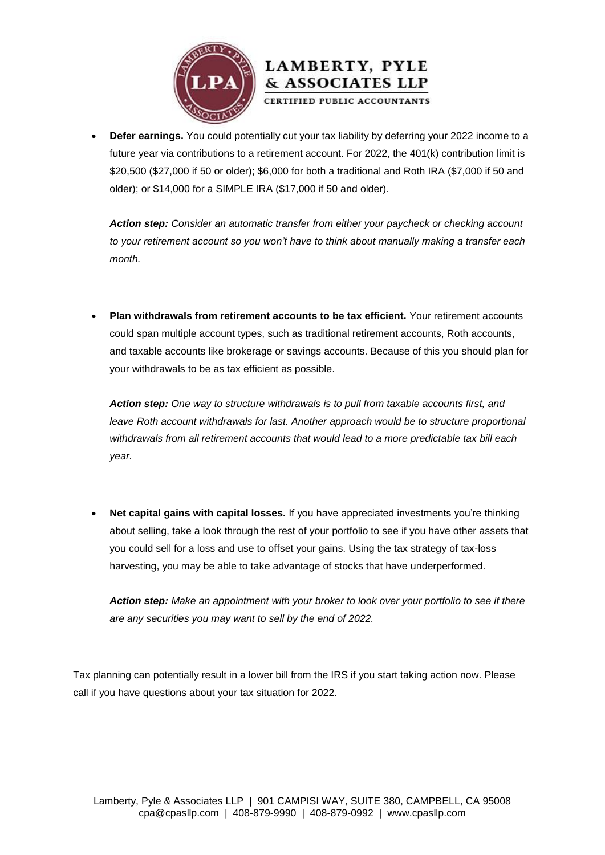



 **Defer earnings.** You could potentially cut your tax liability by deferring your 2022 income to a future year via contributions to a retirement account. For 2022, the 401(k) contribution limit is \$20,500 (\$27,000 if 50 or older); \$6,000 for both a traditional and Roth IRA (\$7,000 if 50 and older); or \$14,000 for a SIMPLE IRA (\$17,000 if 50 and older).

*Action step: Consider an automatic transfer from either your paycheck or checking account to your retirement account so you won't have to think about manually making a transfer each month.*

 **Plan withdrawals from retirement accounts to be tax efficient.** Your retirement accounts could span multiple account types, such as traditional retirement accounts, Roth accounts, and taxable accounts like brokerage or savings accounts. Because of this you should plan for your withdrawals to be as tax efficient as possible.

*Action step: One way to structure withdrawals is to pull from taxable accounts first, and leave Roth account withdrawals for last. Another approach would be to structure proportional withdrawals from all retirement accounts that would lead to a more predictable tax bill each year.*

 **Net capital gains with capital losses.** If you have appreciated investments you're thinking about selling, take a look through the rest of your portfolio to see if you have other assets that you could sell for a loss and use to offset your gains. Using the tax strategy of tax-loss harvesting, you may be able to take advantage of stocks that have underperformed.

*Action step: Make an appointment with your broker to look over your portfolio to see if there are any securities you may want to sell by the end of 2022.*

Tax planning can potentially result in a lower bill from the IRS if you start taking action now. Please call if you have questions about your tax situation for 2022.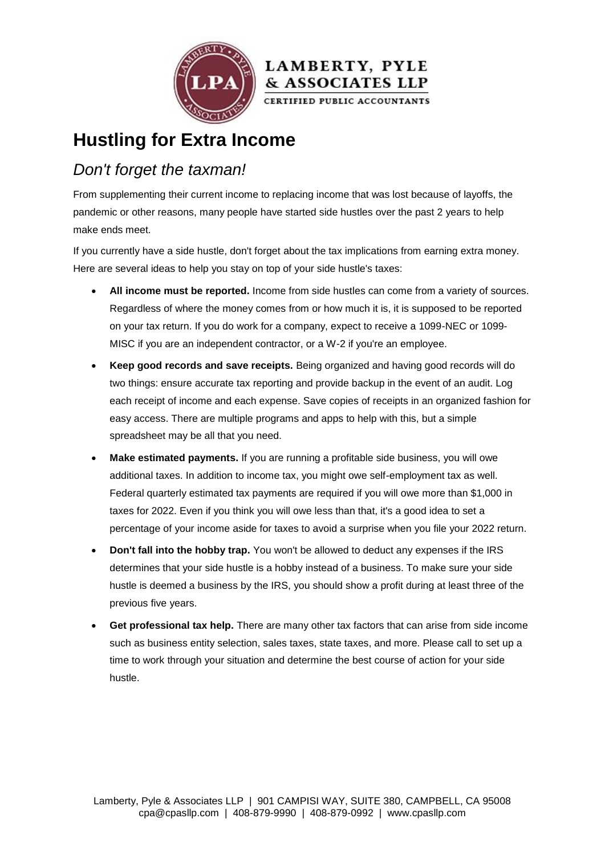



**Hustling for Extra Income**

### *Don't forget the taxman!*

From supplementing their current income to replacing income that was lost because of layoffs, the pandemic or other reasons, many people have started side hustles over the past 2 years to help make ends meet.

If you currently have a side hustle, don't forget about the tax implications from earning extra money. Here are several ideas to help you stay on top of your side hustle's taxes:

- **All income must be reported.** Income from side hustles can come from a variety of sources. Regardless of where the money comes from or how much it is, it is supposed to be reported on your tax return. If you do work for a company, expect to receive a 1099-NEC or 1099- MISC if you are an independent contractor, or a W-2 if you're an employee.
- **Keep good records and save receipts.** Being organized and having good records will do two things: ensure accurate tax reporting and provide backup in the event of an audit. Log each receipt of income and each expense. Save copies of receipts in an organized fashion for easy access. There are multiple programs and apps to help with this, but a simple spreadsheet may be all that you need.
- **Make estimated payments.** If you are running a profitable side business, you will owe additional taxes. In addition to income tax, you might owe self-employment tax as well. Federal quarterly estimated tax payments are required if you will owe more than \$1,000 in taxes for 2022. Even if you think you will owe less than that, it's a good idea to set a percentage of your income aside for taxes to avoid a surprise when you file your 2022 return.
- **Don't fall into the hobby trap.** You won't be allowed to deduct any expenses if the IRS determines that your side hustle is a hobby instead of a business. To make sure your side hustle is deemed a business by the IRS, you should show a profit during at least three of the previous five years.
- **Get professional tax help.** There are many other tax factors that can arise from side income such as business entity selection, sales taxes, state taxes, and more. Please call to set up a time to work through your situation and determine the best course of action for your side hustle.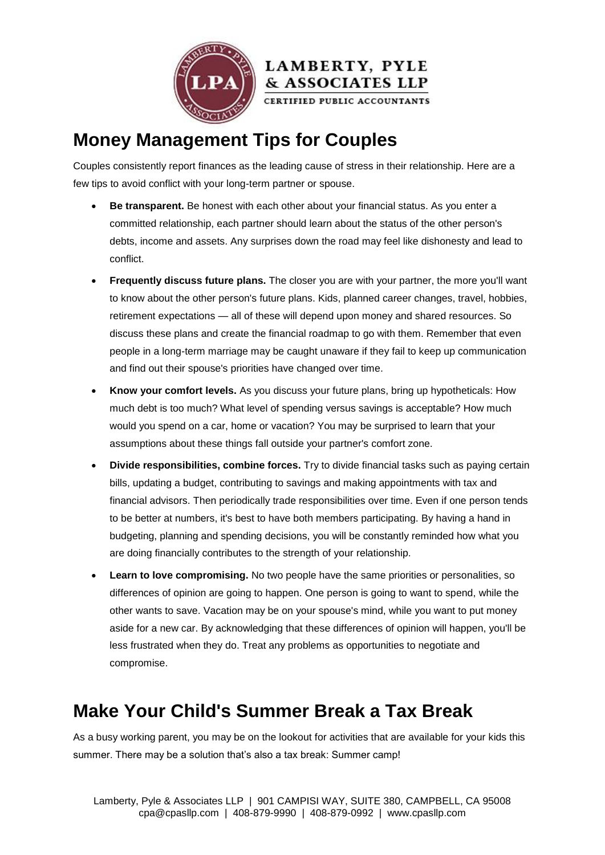



CERTIFIED PUBLIC ACCOUNTANTS

## **Money Management Tips for Couples**

Couples consistently report finances as the leading cause of stress in their relationship. Here are a few tips to avoid conflict with your long-term partner or spouse.

- **Be transparent.** Be honest with each other about your financial status. As you enter a committed relationship, each partner should learn about the status of the other person's debts, income and assets. Any surprises down the road may feel like dishonesty and lead to conflict.
- **Frequently discuss future plans.** The closer you are with your partner, the more you'll want to know about the other person's future plans. Kids, planned career changes, travel, hobbies, retirement expectations — all of these will depend upon money and shared resources. So discuss these plans and create the financial roadmap to go with them. Remember that even people in a long-term marriage may be caught unaware if they fail to keep up communication and find out their spouse's priorities have changed over time.
- **Know your comfort levels.** As you discuss your future plans, bring up hypotheticals: How much debt is too much? What level of spending versus savings is acceptable? How much would you spend on a car, home or vacation? You may be surprised to learn that your assumptions about these things fall outside your partner's comfort zone.
- **Divide responsibilities, combine forces.** Try to divide financial tasks such as paying certain bills, updating a budget, contributing to savings and making appointments with tax and financial advisors. Then periodically trade responsibilities over time. Even if one person tends to be better at numbers, it's best to have both members participating. By having a hand in budgeting, planning and spending decisions, you will be constantly reminded how what you are doing financially contributes to the strength of your relationship.
- **Learn to love compromising.** No two people have the same priorities or personalities, so differences of opinion are going to happen. One person is going to want to spend, while the other wants to save. Vacation may be on your spouse's mind, while you want to put money aside for a new car. By acknowledging that these differences of opinion will happen, you'll be less frustrated when they do. Treat any problems as opportunities to negotiate and compromise.

## **Make Your Child's Summer Break a Tax Break**

As a busy working parent, you may be on the lookout for activities that are available for your kids this summer. There may be a solution that's also a tax break: Summer camp!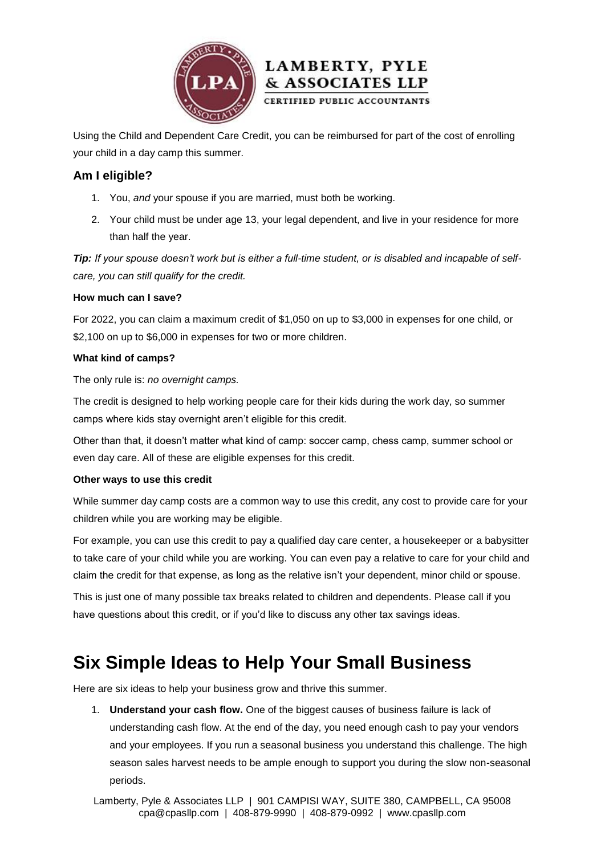



Using the Child and Dependent Care Credit, you can be reimbursed for part of the cost of enrolling your child in a day camp this summer.

#### **Am I eligible?**

- 1. You, *and* your spouse if you are married, must both be working.
- 2. Your child must be under age 13, your legal dependent, and live in your residence for more than half the year.

*Tip: If your spouse doesn't work but is either a full-time student, or is disabled and incapable of selfcare, you can still qualify for the credit.*

#### **How much can I save?**

For 2022, you can claim a maximum credit of \$1,050 on up to \$3,000 in expenses for one child, or \$2,100 on up to \$6,000 in expenses for two or more children.

#### **What kind of camps?**

The only rule is: *no overnight camps.*

The credit is designed to help working people care for their kids during the work day, so summer camps where kids stay overnight aren't eligible for this credit.

Other than that, it doesn't matter what kind of camp: soccer camp, chess camp, summer school or even day care. All of these are eligible expenses for this credit.

#### **Other ways to use this credit**

While summer day camp costs are a common way to use this credit, any cost to provide care for your children while you are working may be eligible.

For example, you can use this credit to pay a qualified day care center, a housekeeper or a babysitter to take care of your child while you are working. You can even pay a relative to care for your child and claim the credit for that expense, as long as the relative isn't your dependent, minor child or spouse.

This is just one of many possible tax breaks related to children and dependents. Please call if you have questions about this credit, or if you'd like to discuss any other tax savings ideas.

### **Six Simple Ideas to Help Your Small Business**

Here are six ideas to help your business grow and thrive this summer.

1. **Understand your cash flow.** One of the biggest causes of business failure is lack of understanding cash flow. At the end of the day, you need enough cash to pay your vendors and your employees. If you run a seasonal business you understand this challenge. The high season sales harvest needs to be ample enough to support you during the slow non-seasonal periods.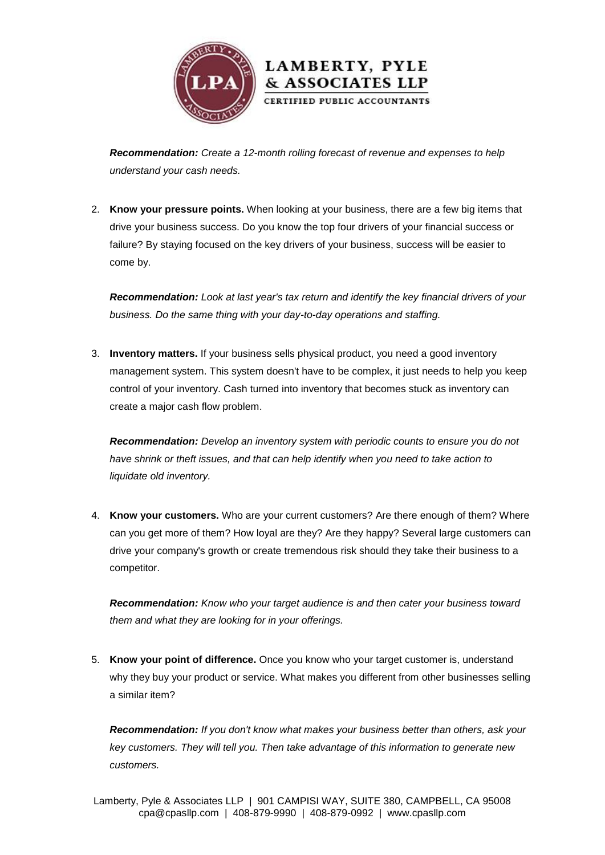

*Recommendation: Create a 12-month rolling forecast of revenue and expenses to help understand your cash needs.*

2. **Know your pressure points.** When looking at your business, there are a few big items that drive your business success. Do you know the top four drivers of your financial success or failure? By staying focused on the key drivers of your business, success will be easier to come by.

*Recommendation: Look at last year's tax return and identify the key financial drivers of your business. Do the same thing with your day-to-day operations and staffing.*

3. **Inventory matters.** If your business sells physical product, you need a good inventory management system. This system doesn't have to be complex, it just needs to help you keep control of your inventory. Cash turned into inventory that becomes stuck as inventory can create a major cash flow problem.

*Recommendation: Develop an inventory system with periodic counts to ensure you do not have shrink or theft issues, and that can help identify when you need to take action to liquidate old inventory.*

4. **Know your customers.** Who are your current customers? Are there enough of them? Where can you get more of them? How loyal are they? Are they happy? Several large customers can drive your company's growth or create tremendous risk should they take their business to a competitor.

*Recommendation: Know who your target audience is and then cater your business toward them and what they are looking for in your offerings.*

5. **Know your point of difference.** Once you know who your target customer is, understand why they buy your product or service. What makes you different from other businesses selling a similar item?

*Recommendation: If you don't know what makes your business better than others, ask your key customers. They will tell you. Then take advantage of this information to generate new customers.*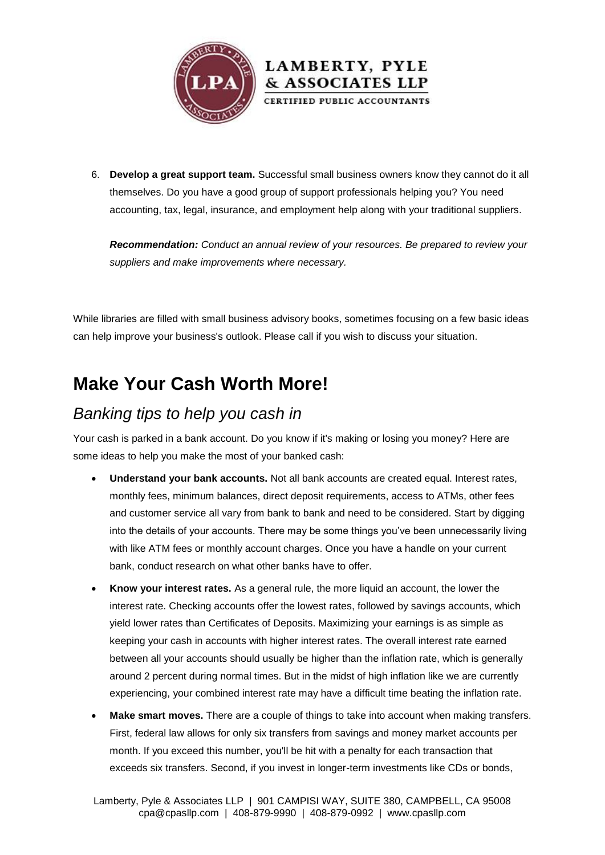



*Recommendation: Conduct an annual review of your resources. Be prepared to review your suppliers and make improvements where necessary.*

While libraries are filled with small business advisory books, sometimes focusing on a few basic ideas can help improve your business's outlook. Please call if you wish to discuss your situation.

### **Make Your Cash Worth More!**

### *Banking tips to help you cash in*

Your cash is parked in a bank account. Do you know if it's making or losing you money? Here are some ideas to help you make the most of your banked cash:

- **Understand your bank accounts.** Not all bank accounts are created equal. Interest rates, monthly fees, minimum balances, direct deposit requirements, access to ATMs, other fees and customer service all vary from bank to bank and need to be considered. Start by digging into the details of your accounts. There may be some things you've been unnecessarily living with like ATM fees or monthly account charges. Once you have a handle on your current bank, conduct research on what other banks have to offer.
- **Know your interest rates.** As a general rule, the more liquid an account, the lower the interest rate. Checking accounts offer the lowest rates, followed by savings accounts, which yield lower rates than Certificates of Deposits. Maximizing your earnings is as simple as keeping your cash in accounts with higher interest rates. The overall interest rate earned between all your accounts should usually be higher than the inflation rate, which is generally around 2 percent during normal times. But in the midst of high inflation like we are currently experiencing, your combined interest rate may have a difficult time beating the inflation rate.
- **Make smart moves.** There are a couple of things to take into account when making transfers. First, federal law allows for only six transfers from savings and money market accounts per month. If you exceed this number, you'll be hit with a penalty for each transaction that exceeds six transfers. Second, if you invest in longer-term investments like CDs or bonds,